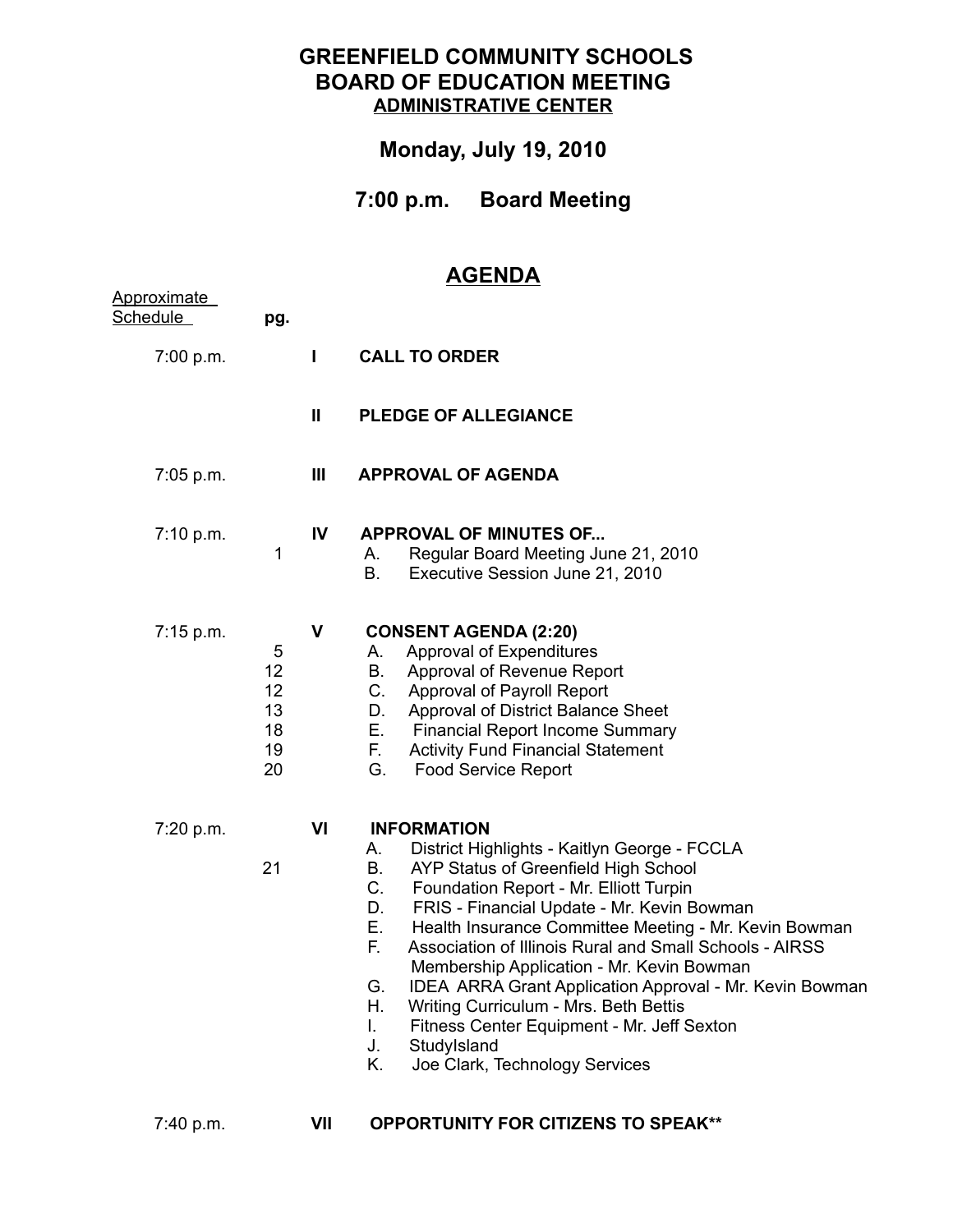## **GREENFIELD COMMUNITY SCHOOLS BOARD OF EDUCATION MEETING ADMINISTRATIVE CENTER**

## **Monday, July 19, 2010**

**7:00 p.m. Board Meeting**

## **AGENDA**

| Approximate<br>Schedule | pg.                                   |              |                                                                                                                                                                                                                                                                                                                                                                                                                                                                                                                                                                                                                                          |
|-------------------------|---------------------------------------|--------------|------------------------------------------------------------------------------------------------------------------------------------------------------------------------------------------------------------------------------------------------------------------------------------------------------------------------------------------------------------------------------------------------------------------------------------------------------------------------------------------------------------------------------------------------------------------------------------------------------------------------------------------|
| 7:00 p.m.               |                                       |              | <b>CALL TO ORDER</b>                                                                                                                                                                                                                                                                                                                                                                                                                                                                                                                                                                                                                     |
|                         |                                       | $\mathbf{I}$ | <b>PLEDGE OF ALLEGIANCE</b>                                                                                                                                                                                                                                                                                                                                                                                                                                                                                                                                                                                                              |
| 7:05 p.m.               |                                       | Ш            | <b>APPROVAL OF AGENDA</b>                                                                                                                                                                                                                                                                                                                                                                                                                                                                                                                                                                                                                |
| 7:10 p.m.               | 1                                     | IV           | <b>APPROVAL OF MINUTES OF</b><br>Regular Board Meeting June 21, 2010<br>А.<br>Executive Session June 21, 2010<br>В.                                                                                                                                                                                                                                                                                                                                                                                                                                                                                                                      |
| 7:15 p.m.               | 5<br>12<br>12<br>13<br>18<br>19<br>20 | $\mathbf v$  | <b>CONSENT AGENDA (2:20)</b><br>Approval of Expenditures<br>А.<br>Approval of Revenue Report<br>B.<br><b>Approval of Payroll Report</b><br>C.<br>D.<br>Approval of District Balance Sheet<br><b>Financial Report Income Summary</b><br>Е.<br>F.<br><b>Activity Fund Financial Statement</b><br>G.<br><b>Food Service Report</b>                                                                                                                                                                                                                                                                                                          |
| 7:20 p.m.               | 21                                    | VI           | <b>INFORMATION</b><br>District Highlights - Kaitlyn George - FCCLA<br>А.<br>AYP Status of Greenfield High School<br>В.<br>C.<br>Foundation Report - Mr. Elliott Turpin<br>FRIS - Financial Update - Mr. Kevin Bowman<br>D.<br>Е.<br>Health Insurance Committee Meeting - Mr. Kevin Bowman<br>Е.<br>Association of Illinois Rural and Small Schools - AIRSS<br>Membership Application - Mr. Kevin Bowman<br>IDEA ARRA Grant Application Approval - Mr. Kevin Bowman<br>G.<br>Η.<br>Writing Curriculum - Mrs. Beth Bettis<br>Fitness Center Equipment - Mr. Jeff Sexton<br>Ι.<br>J.<br>StudyIsland<br>Joe Clark, Technology Services<br>Κ. |

7:40 p.m.

**VII OPPORTUNITY FOR CITIZENS TO SPEAK\*\***